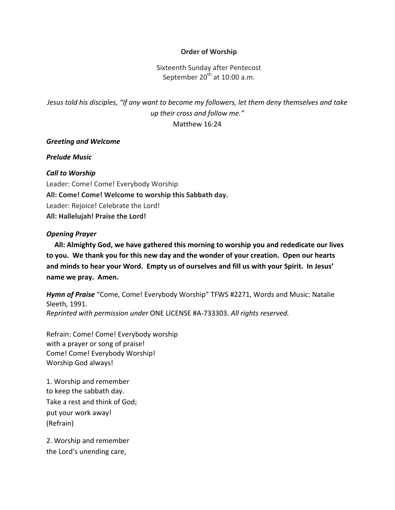## **Order of Worship**

Sixteenth Sunday after Pentecost September  $20^{th}$  at 10:00 a.m.

*Jesus* told his disciples, "If any want to become my followers, let them deny themselves and take *up* their cross and follow me." Matthew 16:24

## *Greeting and Welcome*

*Prelude Music* 

### *Call to Worship*

Leader: Come! Come! Everybody Worship **All: Come! Come! Welcome to worship this Sabbath day.** Leader: Rejoice! Celebrate the Lord! **All: Hallelujah! Praise the Lord!**

### *Opening Prayer*

All: Almighty God, we have gathered this morning to worship you and rededicate our lives to you. We thank you for this new day and the wonder of your creation. Open our hearts and minds to hear your Word. Empty us of ourselves and fill us with your Spirit. In Jesus' **name we pray. Amen.**

Hymn of Praise "Come, Come! Everybody Worship" TFWS #2271, Words and Music: Natalie Sleeth, 1991. *Reprinted with permission under* ONE LICENSE #A-733303. *All rights reserved.*

Refrain: Come! Come! Everybody worship with a prayer or song of praise! Come! Come! Everybody Worship! Worship God always!

1. Worship and remember to keep the sabbath day. Take a rest and think of God; put your work away! (Refrain)

2. Worship and remember the Lord's unending care,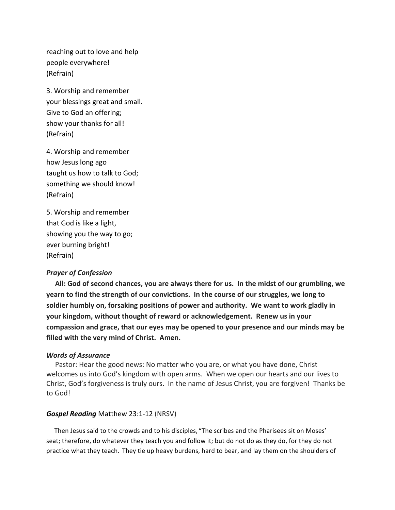reaching out to love and help people everywhere! (Refrain)

3. Worship and remember your blessings great and small. Give to God an offering; show your thanks for all! (Refrain) 

4. Worship and remember how Jesus long ago taught us how to talk to God; something we should know! (Refrain) 

5. Worship and remember that God is like a light, showing you the way to go; ever burning bright! (Refrain) 

### **Prayer of Confession**

All: God of second chances, you are always there for us. In the midst of our grumbling, we **yearn to find the strength of our convictions.** In the course of our struggles, we long to soldier humbly on, forsaking positions of power and authority. We want to work gladly in **your kingdom, without thought of reward or acknowledgement.** Renew us in your compassion and grace, that our eyes may be opened to your presence and our minds may be **filled** with the very mind of Christ. Amen.

#### *Words of Assurance*

Pastor: Hear the good news: No matter who you are, or what you have done, Christ welcomes us into God's kingdom with open arms. When we open our hearts and our lives to Christ, God's forgiveness is truly ours. In the name of Jesus Christ, you are forgiven! Thanks be to God!

### **Gospel Reading** Matthew 23:1-12 (NRSV)

Then Jesus said to the crowds and to his disciples, "The scribes and the Pharisees sit on Moses' seat; therefore, do whatever they teach you and follow it; but do not do as they do, for they do not practice what they teach. They tie up heavy burdens, hard to bear, and lay them on the shoulders of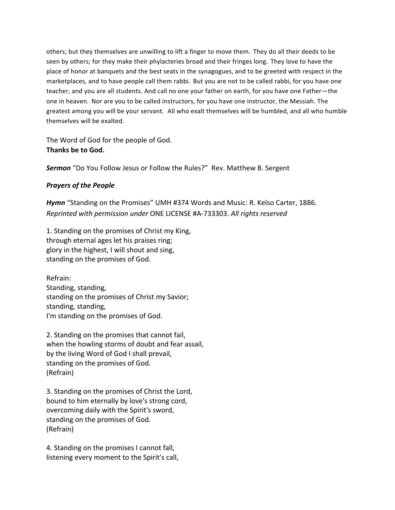others; but they themselves are unwilling to lift a finger to move them. They do all their deeds to be seen by others; for they make their phylacteries broad and their fringes long. They love to have the place of honor at banquets and the best seats in the synagogues, and to be greeted with respect in the marketplaces, and to have people call them rabbi. But you are not to be called rabbi, for you have one teacher, and you are all students. And call no one your father on earth, for you have one Father-the one in heaven. Nor are you to be called instructors, for you have one instructor, the Messiah. The greatest among you will be your servant. All who exalt themselves will be humbled, and all who humble themselves will be exalted.

The Word of God for the people of God. Thanks be to God.

**Sermon** "Do You Follow Jesus or Follow the Rules?" Rev. Matthew B. Sergent

### **Prayers of the People**

Hymn "Standing on the Promises" UMH #374 Words and Music: R. Kelso Carter, 1886. *Reprinted with permission under* ONE LICENSE #A-733303. *All rights reserved*

1. Standing on the promises of Christ my King, through eternal ages let his praises ring; glory in the highest, I will shout and sing, standing on the promises of God.

Refrain: Standing, standing, standing on the promises of Christ my Savior; standing, standing, I'm standing on the promises of God.

2. Standing on the promises that cannot fail, when the howling storms of doubt and fear assail, by the living Word of God I shall prevail, standing on the promises of God. (Refrain)

3. Standing on the promises of Christ the Lord, bound to him eternally by love's strong cord, overcoming daily with the Spirit's sword, standing on the promises of God. (Refrain)

4. Standing on the promises I cannot fall, listening every moment to the Spirit's call,